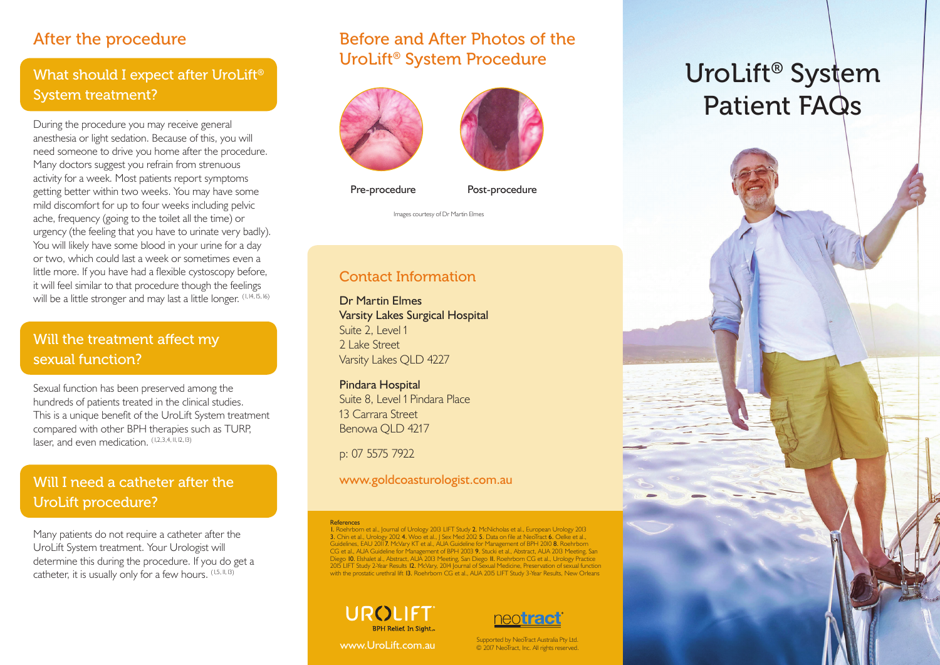# After the procedure

# What should I expect after UroLift<sup>®</sup> System treatment?

During the procedure you may receive general anesthesia or light sedation. Because of this, you will need someone to drive you home after the procedure. Many doctors suggest you refrain from strenuous activity for a week. Most patients report symptoms getting better within two weeks. You may have some mild discomfort for up to four weeks including pelvic ache, frequency (going to the toilet all the time) or urgency (the feeling that you have to urinate very badly). You will likely have some blood in your urine for a day or two, which could last a week or sometimes even a little more. If you have had a flexible cystoscopy before, it will feel similar to that procedure though the feelings will be a little stronger and may last a little longer. (1, 14, 15, 16)

# Will the treatment affect my sexual function?

Sexual function has been preserved among the hundreds of patients treated in the clinical studies. This is a unique benefit of the UroLift System treatment compared with other BPH therapies such as TURP, laser, and even medication. (1,2,3,4, 11, 12, 13)

# Will I need a catheter after the UroLift procedure?

Many patients do not require a catheter after the UroLift System treatment. Your Urologist will determine this during the procedure. If you do get a catheter, it is usually only for a few hours. (1,5, 11, 13)

# Before and After Photos of the UroLift® System Procedure





Pre-procedure Post-procedure

Images courtesy of Dr Martin Elmes

### Contact Information

Dr Martin Elmes Varsity Lakes Surgical Hospital Suite 2, Level 1 2 Lake Street Varsity Lakes QLD 4227

Pindara Hospital Suite 8, Level 1 Pindara Place 13 Carrara Street Benowa QLD 4217

p: 07 5575 7922

www.goldcoasturologist.com.au

<mark>References</mark><br>I. Roehrborn et al., Journal of Urology 2013 LIFT Study **2.** McNicholas et al., European Urology 2013 3. Chin et al., Urology 2012 4. Woo et al., J Sex Med 2012 5. Data on file at NeoTract 6. Oelke et al., Guideline, EAU 2011. McVary KT et al., AUA Guideline for Management of BPH 2003 9. Stucki et al., Abstract, AUA 2013 M





Supported by NeoTract Australia Pty Ltd. www.UroLift.com.au © 2017 NeoTract, Inc. All rights reserved.

# UroLift® System Patient FAQs